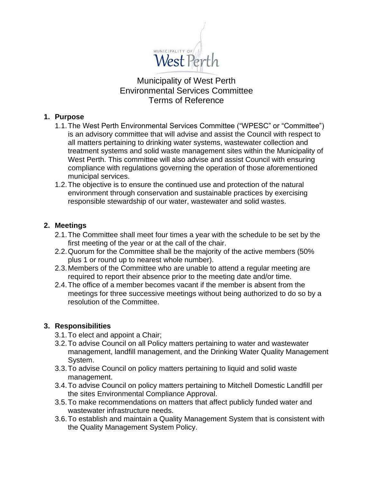

# Municipality of West Perth Environmental Services Committee Terms of Reference

#### **1. Purpose**

- 1.1.The West Perth Environmental Services Committee ("WPESC" or "Committee") is an advisory committee that will advise and assist the Council with respect to all matters pertaining to drinking water systems, wastewater collection and treatment systems and solid waste management sites within the Municipality of West Perth. This committee will also advise and assist Council with ensuring compliance with regulations governing the operation of those aforementioned municipal services.
- 1.2.The objective is to ensure the continued use and protection of the natural environment through conservation and sustainable practices by exercising responsible stewardship of our water, wastewater and solid wastes.

## **2. Meetings**

- 2.1.The Committee shall meet four times a year with the schedule to be set by the first meeting of the year or at the call of the chair.
- 2.2.Quorum for the Committee shall be the majority of the active members (50% plus 1 or round up to nearest whole number).
- 2.3.Members of the Committee who are unable to attend a regular meeting are required to report their absence prior to the meeting date and/or time.
- 2.4.The office of a member becomes vacant if the member is absent from the meetings for three successive meetings without being authorized to do so by a resolution of the Committee.

#### **3. Responsibilities**

- 3.1.To elect and appoint a Chair;
- 3.2.To advise Council on all Policy matters pertaining to water and wastewater management, landfill management, and the Drinking Water Quality Management System.
- 3.3.To advise Council on policy matters pertaining to liquid and solid waste management.
- 3.4.To advise Council on policy matters pertaining to Mitchell Domestic Landfill per the sites Environmental Compliance Approval.
- 3.5.To make recommendations on matters that affect publicly funded water and wastewater infrastructure needs.
- 3.6.To establish and maintain a Quality Management System that is consistent with the Quality Management System Policy.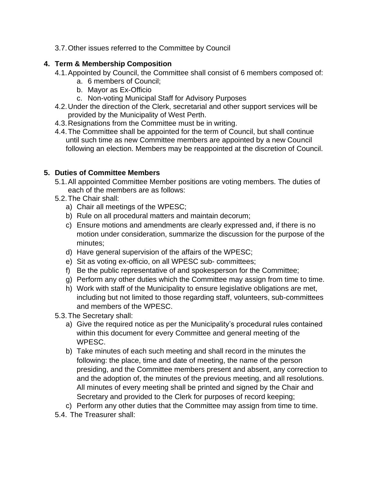3.7.Other issues referred to the Committee by Council

# **4. Term & Membership Composition**

- 4.1.Appointed by Council, the Committee shall consist of 6 members composed of:
	- a. 6 members of Council;
	- b. Mayor as Ex-Officio
	- c. Non-voting Municipal Staff for Advisory Purposes
- 4.2.Under the direction of the Clerk, secretarial and other support services will be provided by the Municipality of West Perth.
- 4.3.Resignations from the Committee must be in writing.
- 4.4.The Committee shall be appointed for the term of Council, but shall continue until such time as new Committee members are appointed by a new Council following an election. Members may be reappointed at the discretion of Council.

# **5. Duties of Committee Members**

- 5.1.All appointed Committee Member positions are voting members. The duties of each of the members are as follows:
- 5.2.The Chair shall:
	- a) Chair all meetings of the WPESC;
	- b) Rule on all procedural matters and maintain decorum;
	- c) Ensure motions and amendments are clearly expressed and, if there is no motion under consideration, summarize the discussion for the purpose of the minutes;
	- d) Have general supervision of the affairs of the WPESC;
	- e) Sit as voting ex-officio, on all WPESC sub- committees;
	- f) Be the public representative of and spokesperson for the Committee;
	- g) Perform any other duties which the Committee may assign from time to time.
	- h) Work with staff of the Municipality to ensure legislative obligations are met, including but not limited to those regarding staff, volunteers, sub-committees and members of the WPESC.
- 5.3.The Secretary shall:
	- a) Give the required notice as per the Municipality's procedural rules contained within this document for every Committee and general meeting of the WPESC.
	- b) Take minutes of each such meeting and shall record in the minutes the following: the place, time and date of meeting, the name of the person presiding, and the Committee members present and absent, any correction to and the adoption of, the minutes of the previous meeting, and all resolutions. All minutes of every meeting shall be printed and signed by the Chair and Secretary and provided to the Clerk for purposes of record keeping;
	- c) Perform any other duties that the Committee may assign from time to time.
- 5.4. The Treasurer shall: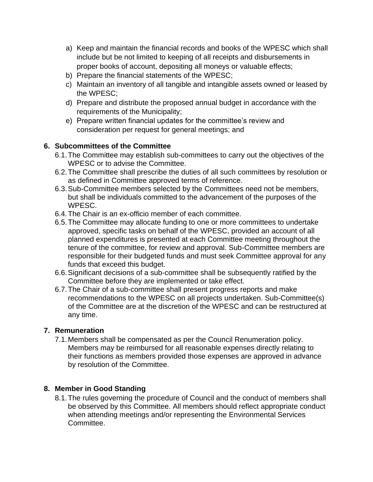- a) Keep and maintain the financial records and books of the WPESC which shall include but be not limited to keeping of all receipts and disbursements in proper books of account, depositing all moneys or valuable effects;
- b) Prepare the financial statements of the WPESC;
- c) Maintain an inventory of all tangible and intangible assets owned or leased by the WPESC;
- d) Prepare and distribute the proposed annual budget in accordance with the requirements of the Municipality;
- e) Prepare written financial updates for the committee's review and consideration per request for general meetings; and

## **6. Subcommittees of the Committee**

- 6.1.The Committee may establish sub-committees to carry out the objectives of the WPESC or to advise the Committee.
- 6.2.The Committee shall prescribe the duties of all such committees by resolution or as defined in Committee approved terms of reference.
- 6.3.Sub-Committee members selected by the Committees need not be members, but shall be individuals committed to the advancement of the purposes of the WPESC.
- 6.4.The Chair is an ex-officio member of each committee.
- 6.5.The Committee may allocate funding to one or more committees to undertake approved, specific tasks on behalf of the WPESC, provided an account of all planned expenditures is presented at each Committee meeting throughout the tenure of the committee, for review and approval. Sub-Committee members are responsible for their budgeted funds and must seek Committee approval for any funds that exceed this budget.
- 6.6.Significant decisions of a sub-committee shall be subsequently ratified by the Committee before they are implemented or take effect.
- 6.7.The Chair of a sub-committee shall present progress reports and make recommendations to the WPESC on all projects undertaken. Sub-Committee(s) of the Committee are at the discretion of the WPESC and can be restructured at any time.

#### **7. Remuneration**

7.1.Members shall be compensated as per the Council Renumeration policy. Members may be reimbursed for all reasonable expenses directly relating to their functions as members provided those expenses are approved in advance by resolution of the Committee.

#### **8. Member in Good Standing**

8.1.The rules governing the procedure of Council and the conduct of members shall be observed by this Committee. All members should reflect appropriate conduct when attending meetings and/or representing the Environmental Services Committee.